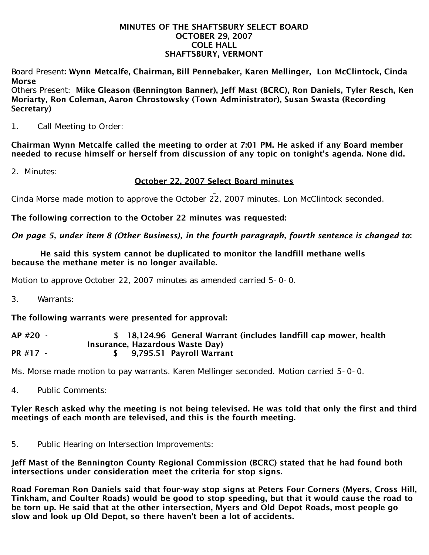#### MINUTES OF THE SHAFTSBURY SELECT BOARD OCTOBER 29, 2007 COLE HALL SHAFTSBURY, VERMONT

Board Present: Wynn Metcalfe, Chairman, Bill Pennebaker, Karen Mellinger, Lon McClintock, Cinda Morse

Others Present: Mike Gleason (Bennington Banner), Jeff Mast (BCRC), Ron Daniels, Tyler Resch, Ken Moriarty, Ron Coleman, Aaron Chrostowsky (Town Administrator), Susan Swasta (Recording Secretary)

1. Call Meeting to Order:

Chairman Wynn Metcalfe called the meeting to order at 7:01 PM. He asked if any Board member needed to recuse himself or herself from discussion of any topic on tonight's agenda. None did.

2. Minutes:

# October 22, 2007 Select Board minutes

Cinda Morse made motion to approve the October 22, 2007 minutes. Lon McClintock seconded.

The following correction to the October 22 minutes was requested:

*On page 5, under item 8 (Other Business), in the fourth paragraph, fourth sentence is changed to*:

#### He said this system cannot be duplicated to monitor the landfill methane wells because the methane meter is no longer available.

Motion to approve October 22, 2007 minutes as amended carried 5-0-0.

3. Warrants:

## The following warrants were presented for approval:

#### AP #20 - \$ 18,124.96 General Warrant (includes landfill cap mower, health Insurance, Hazardous Waste Day) PR #17 - \$ 9,795.51 Payroll Warrant

Ms. Morse made motion to pay warrants. Karen Mellinger seconded. Motion carried 5-0-0.

4. Public Comments:

## Tyler Resch asked why the meeting is not being televised. He was told that only the first and third meetings of each month are televised, and this is the fourth meeting.

5. Public Hearing on Intersection Improvements:

Jeff Mast of the Bennington County Regional Commission (BCRC) stated that he had found both intersections under consideration meet the criteria for stop signs.

Road Foreman Ron Daniels said that four-way stop signs at Peters Four Corners (Myers, Cross Hill, Tinkham, and Coulter Roads) would be good to stop speeding, but that it would cause the road to be torn up. He said that at the other intersection, Myers and Old Depot Roads, most people go slow and look up Old Depot, so there haven't been a lot of accidents.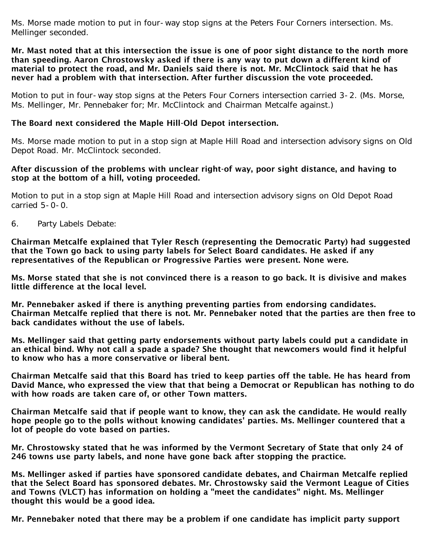Ms. Morse made motion to put in four-way stop signs at the Peters Four Corners intersection. Ms. Mellinger seconded.

#### Mr. Mast noted that at this intersection the issue is one of poor sight distance to the north more than speeding. Aaron Chrostowsky asked if there is any way to put down a different kind of material to protect the road, and Mr. Daniels said there is not. Mr. McClintock said that he has never had a problem with that intersection. After further discussion the vote proceeded.

Motion to put in four-way stop signs at the Peters Four Corners intersection carried 3-2. (Ms. Morse, Ms. Mellinger, Mr. Pennebaker for; Mr. McClintock and Chairman Metcalfe against.)

## The Board next considered the Maple Hill-Old Depot intersection.

Ms. Morse made motion to put in a stop sign at Maple Hill Road and intersection advisory signs on Old Depot Road. Mr. McClintock seconded.

#### After discussion of the problems with unclear right-of way, poor sight distance, and having to stop at the bottom of a hill, voting proceeded.

Motion to put in a stop sign at Maple Hill Road and intersection advisory signs on Old Depot Road carried 5-0-0.

6. Party Labels Debate:

Chairman Metcalfe explained that Tyler Resch (representing the Democratic Party) had suggested that the Town go back to using party labels for Select Board candidates. He asked if any representatives of the Republican or Progressive Parties were present. None were.

Ms. Morse stated that she is not convinced there is a reason to go back. It is divisive and makes little difference at the local level.

Mr. Pennebaker asked if there is anything preventing parties from endorsing candidates. Chairman Metcalfe replied that there is not. Mr. Pennebaker noted that the parties are then free to back candidates without the use of labels.

Ms. Mellinger said that getting party endorsements without party labels could put a candidate in an ethical bind. Why not call a spade a spade? She thought that newcomers would find it helpful to know who has a more conservative or liberal bent.

Chairman Metcalfe said that this Board has tried to keep parties off the table. He has heard from David Mance, who expressed the view that that being a Democrat or Republican has nothing to do with how roads are taken care of, or other Town matters.

Chairman Metcalfe said that if people want to know, they can ask the candidate. He would really hope people go to the polls without knowing candidates' parties. Ms. Mellinger countered that a lot of people do vote based on parties.

Mr. Chrostowsky stated that he was informed by the Vermont Secretary of State that only 24 of 246 towns use party labels, and none have gone back after stopping the practice.

Ms. Mellinger asked if parties have sponsored candidate debates, and Chairman Metcalfe replied that the Select Board has sponsored debates. Mr. Chrostowsky said the Vermont League of Cities and Towns (VLCT) has information on holding a "meet the candidates" night. Ms. Mellinger thought this would be a good idea.

Mr. Pennebaker noted that there may be a problem if one candidate has implicit party support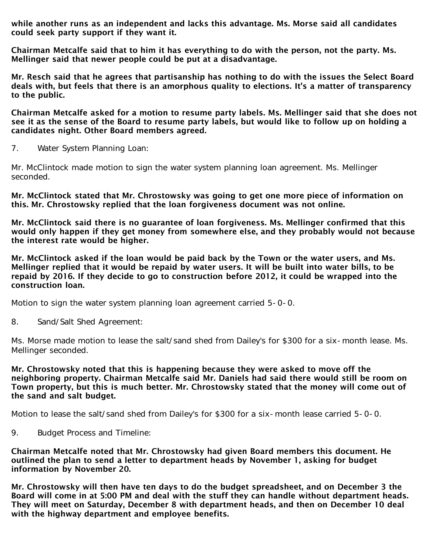while another runs as an independent and lacks this advantage. Ms. Morse said all candidates could seek party support if they want it.

Chairman Metcalfe said that to him it has everything to do with the person, not the party. Ms. Mellinger said that newer people could be put at a disadvantage.

Mr. Resch said that he agrees that partisanship has nothing to do with the issues the Select Board deals with, but feels that there is an amorphous quality to elections. It's a matter of transparency to the public.

Chairman Metcalfe asked for a motion to resume party labels. Ms. Mellinger said that she does not see it as the sense of the Board to resume party labels, but would like to follow up on holding a candidates night. Other Board members agreed.

7. Water System Planning Loan:

Mr. McClintock made motion to sign the water system planning loan agreement. Ms. Mellinger seconded.

Mr. McClintock stated that Mr. Chrostowsky was going to get one more piece of information on this. Mr. Chrostowsky replied that the loan forgiveness document was not online.

Mr. McClintock said there is no guarantee of loan forgiveness. Ms. Mellinger confirmed that this would only happen if they get money from somewhere else, and they probably would not because the interest rate would be higher.

Mr. McClintock asked if the loan would be paid back by the Town or the water users, and Ms. Mellinger replied that it would be repaid by water users. It will be built into water bills, to be repaid by 2016. If they decide to go to construction before 2012, it could be wrapped into the construction loan.

Motion to sign the water system planning loan agreement carried 5-0-0.

8. Sand/Salt Shed Agreement:

Ms. Morse made motion to lease the salt/sand shed from Dailey's for \$300 for a six-month lease. Ms. Mellinger seconded.

Mr. Chrostowsky noted that this is happening because they were asked to move off the neighboring property. Chairman Metcalfe said Mr. Daniels had said there would still be room on Town property, but this is much better. Mr. Chrostowsky stated that the money will come out of the sand and salt budget.

Motion to lease the salt/sand shed from Dailey's for \$300 for a six-month lease carried 5-0-0.

9. Budget Process and Timeline:

Chairman Metcalfe noted that Mr. Chrostowsky had given Board members this document. He outlined the plan to send a letter to department heads by November 1, asking for budget information by November 20.

Mr. Chrostowsky will then have ten days to do the budget spreadsheet, and on December 3 the Board will come in at 5:00 PM and deal with the stuff they can handle without department heads. They will meet on Saturday, December 8 with department heads, and then on December 10 deal with the highway department and employee benefits.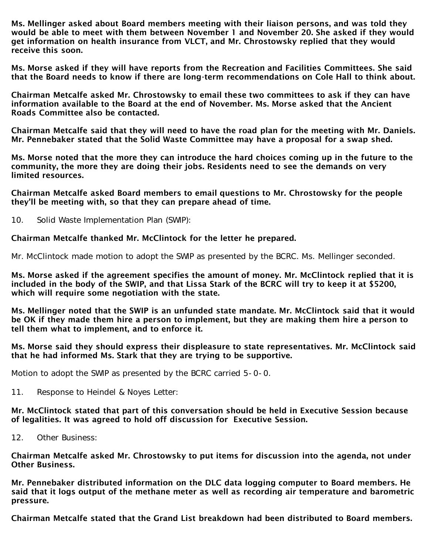Ms. Mellinger asked about Board members meeting with their liaison persons, and was told they would be able to meet with them between November 1 and November 20. She asked if they would get information on health insurance from VLCT, and Mr. Chrostowsky replied that they would receive this soon.

Ms. Morse asked if they will have reports from the Recreation and Facilities Committees. She said that the Board needs to know if there are long-term recommendations on Cole Hall to think about.

Chairman Metcalfe asked Mr. Chrostowsky to email these two committees to ask if they can have information available to the Board at the end of November. Ms. Morse asked that the Ancient Roads Committee also be contacted.

Chairman Metcalfe said that they will need to have the road plan for the meeting with Mr. Daniels. Mr. Pennebaker stated that the Solid Waste Committee may have a proposal for a swap shed.

Ms. Morse noted that the more they can introduce the hard choices coming up in the future to the community, the more they are doing their jobs. Residents need to see the demands on very limited resources.

Chairman Metcalfe asked Board members to email questions to Mr. Chrostowsky for the people they'll be meeting with, so that they can prepare ahead of time.

10. Solid Waste Implementation Plan (SWIP):

Chairman Metcalfe thanked Mr. McClintock for the letter he prepared.

Mr. McClintock made motion to adopt the SWIP as presented by the BCRC. Ms. Mellinger seconded.

Ms. Morse asked if the agreement specifies the amount of money. Mr. McClintock replied that it is included in the body of the SWIP, and that Lissa Stark of the BCRC will try to keep it at \$5200, which will require some negotiation with the state.

Ms. Mellinger noted that the SWIP is an unfunded state mandate. Mr. McClintock said that it would be OK if they made them hire a person to implement, but they are making them hire a person to tell them what to implement, and to enforce it.

Ms. Morse said they should express their displeasure to state representatives. Mr. McClintock said that he had informed Ms. Stark that they are trying to be supportive.

Motion to adopt the SWIP as presented by the BCRC carried 5-0-0.

11. Response to Heindel & Noyes Letter:

Mr. McClintock stated that part of this conversation should be held in Executive Session because of legalities. It was agreed to hold off discussion for Executive Session.

12. Other Business:

Chairman Metcalfe asked Mr. Chrostowsky to put items for discussion into the agenda, not under Other Business.

Mr. Pennebaker distributed information on the DLC data logging computer to Board members. He said that it logs output of the methane meter as well as recording air temperature and barometric pressure.

Chairman Metcalfe stated that the Grand List breakdown had been distributed to Board members.